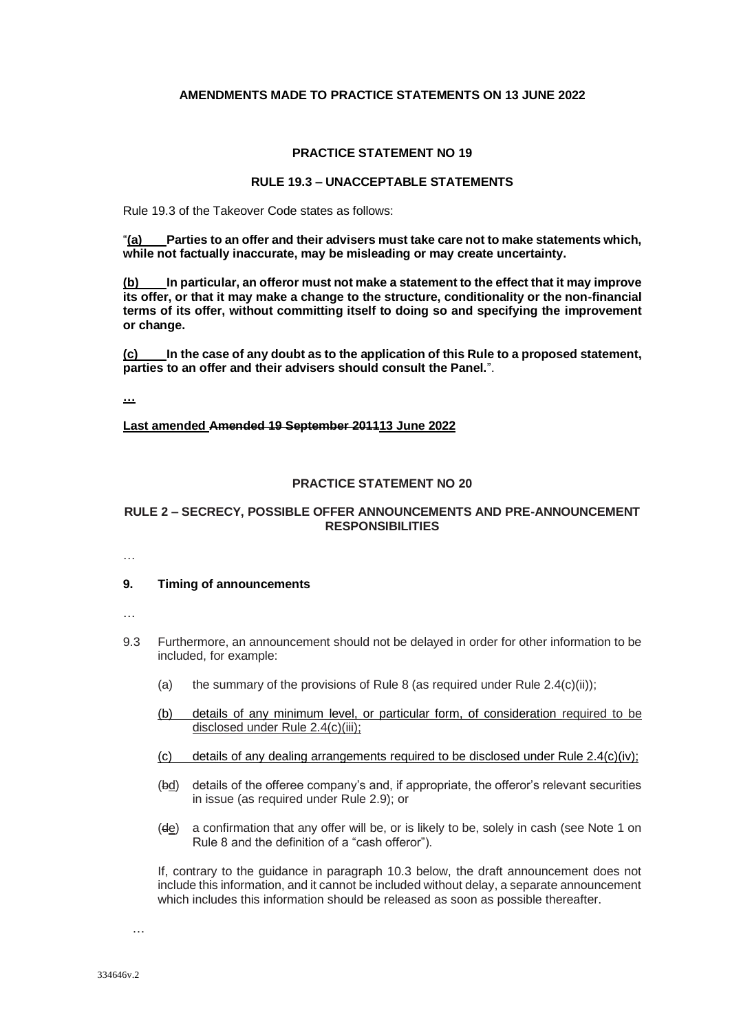## **AMENDMENTS MADE TO PRACTICE STATEMENTS ON 13 JUNE 2022**

## **PRACTICE STATEMENT NO 19**

# **RULE 19.3 – UNACCEPTABLE STATEMENTS**

Rule 19.3 of the Takeover Code states as follows:

"**(a) Parties to an offer and their advisers must take care not to make statements which, while not factually inaccurate, may be misleading or may create uncertainty.** 

**(b) In particular, an offeror must not make a statement to the effect that it may improve its offer, or that it may make a change to the structure, conditionality or the non-financial terms of its offer, without committing itself to doing so and specifying the improvement or change.** 

**(c) In the case of any doubt as to the application of this Rule to a proposed statement, parties to an offer and their advisers should consult the Panel.**".

**…**

**Last amended Amended 19 September 201113 June 2022**

### **PRACTICE STATEMENT NO 20**

# **RULE 2 – SECRECY, POSSIBLE OFFER ANNOUNCEMENTS AND PRE-ANNOUNCEMENT RESPONSIBILITIES**

…

## **9. Timing of announcements**

- …
- 9.3 Furthermore, an announcement should not be delayed in order for other information to be included, for example:
	- (a) the summary of the provisions of Rule 8 (as required under Rule  $2.4(c)(ii)$ ;
	- (b) details of any minimum level, or particular form, of consideration required to be disclosed under Rule 2.4(c)(iii);
	- (c) details of any dealing arrangements required to be disclosed under Rule  $2.4(c)(iv)$ ;
	- (bd) details of the offeree company's and, if appropriate, the offeror's relevant securities in issue (as required under Rule 2.9); or
	- (de) a confirmation that any offer will be, or is likely to be, solely in cash (see Note 1 on Rule 8 and the definition of a "cash offeror").

If, contrary to the guidance in paragraph 10.3 below, the draft announcement does not include this information, and it cannot be included without delay, a separate announcement which includes this information should be released as soon as possible thereafter.

…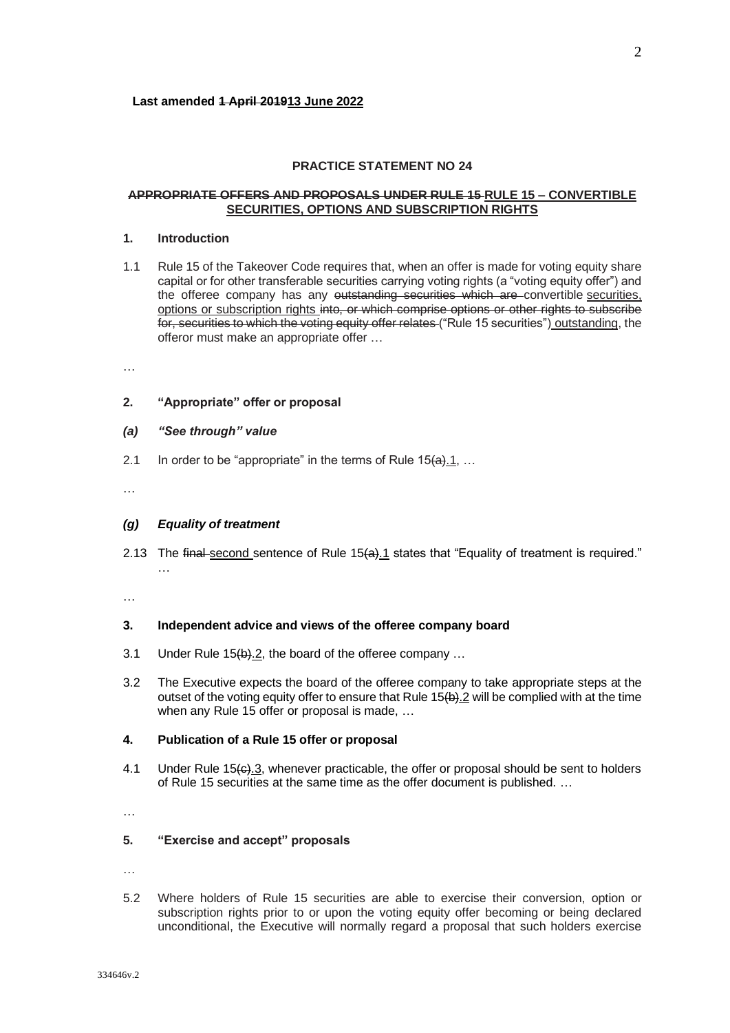### **PRACTICE STATEMENT NO 24**

### **APPROPRIATE OFFERS AND PROPOSALS UNDER RULE 15 RULE 15 – CONVERTIBLE SECURITIES, OPTIONS AND SUBSCRIPTION RIGHTS**

# **1. Introduction**

1.1 Rule 15 of the Takeover Code requires that, when an offer is made for voting equity share capital or for other transferable securities carrying voting rights (a "voting equity offer") and the offeree company has any outstanding securities which are convertible securities, options or subscription rights into, or which comprise options or other rights to subscribe for, securities to which the voting equity offer relates ("Rule 15 securities") outstanding, the offeror must make an appropriate offer …

…

### **2. "Appropriate" offer or proposal**

#### *(a) "See through" value*

2.1 In order to be "appropriate" in the terms of Rule  $15(a)$ .  $1, ...$ 

…

### *(g) Equality of treatment*

2.13 The final second sentence of Rule 15(a).1 states that "Equality of treatment is required." …

…

# **3. Independent advice and views of the offeree company board**

- 3.1 Under Rule 15(b).2, the board of the offeree company ...
- 3.2 The Executive expects the board of the offeree company to take appropriate steps at the outset of the voting equity offer to ensure that Rule 15(b).2 will be complied with at the time when any Rule 15 offer or proposal is made, …

#### **4. Publication of a Rule 15 offer or proposal**

4.1 Under Rule 15 $\leftrightarrow$  3, whenever practicable, the offer or proposal should be sent to holders of Rule 15 securities at the same time as the offer document is published. …

…

#### **5. "Exercise and accept" proposals**

…

5.2 Where holders of Rule 15 securities are able to exercise their conversion, option or subscription rights prior to or upon the voting equity offer becoming or being declared unconditional, the Executive will normally regard a proposal that such holders exercise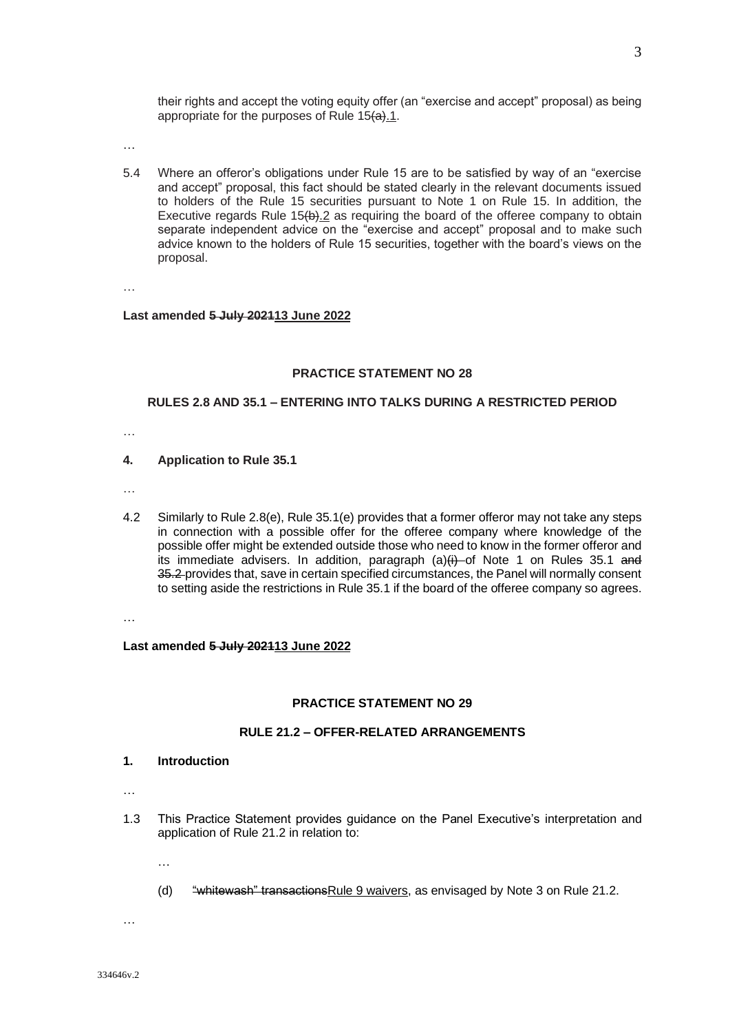their rights and accept the voting equity offer (an "exercise and accept" proposal) as being appropriate for the purposes of Rule  $15(4)$ .

…

5.4 Where an offeror's obligations under Rule 15 are to be satisfied by way of an "exercise and accept" proposal, this fact should be stated clearly in the relevant documents issued to holders of the Rule 15 securities pursuant to Note 1 on Rule 15. In addition, the Executive regards Rule  $15(b)$ . 2 as requiring the board of the offeree company to obtain separate independent advice on the "exercise and accept" proposal and to make such advice known to the holders of Rule 15 securities, together with the board's views on the proposal.

…

#### **Last amended 5 July 202113 June 2022**

### **PRACTICE STATEMENT NO 28**

### **RULES 2.8 AND 35.1 – ENTERING INTO TALKS DURING A RESTRICTED PERIOD**

…

#### **4. Application to Rule 35.1**

- …
- 4.2 Similarly to Rule 2.8(e), Rule 35.1(e) provides that a former offeror may not take any steps in connection with a possible offer for the offeree company where knowledge of the possible offer might be extended outside those who need to know in the former offeror and its immediate advisers. In addition, paragraph  $(a)(i)$  of Note 1 on Rules 35.1 and 35.2-provides that, save in certain specified circumstances, the Panel will normally consent to setting aside the restrictions in Rule 35.1 if the board of the offeree company so agrees.

…

#### **Last amended 5 July 202113 June 2022**

#### **PRACTICE STATEMENT NO 29**

# **RULE 21.2 – OFFER-RELATED ARRANGEMENTS**

- **1. Introduction**
- …
- 1.3 This Practice Statement provides guidance on the Panel Executive's interpretation and application of Rule 21.2 in relation to:
	- …
	- (d) "whitewash" transactions Rule 9 waivers, as envisaged by Note 3 on Rule 21.2.

…